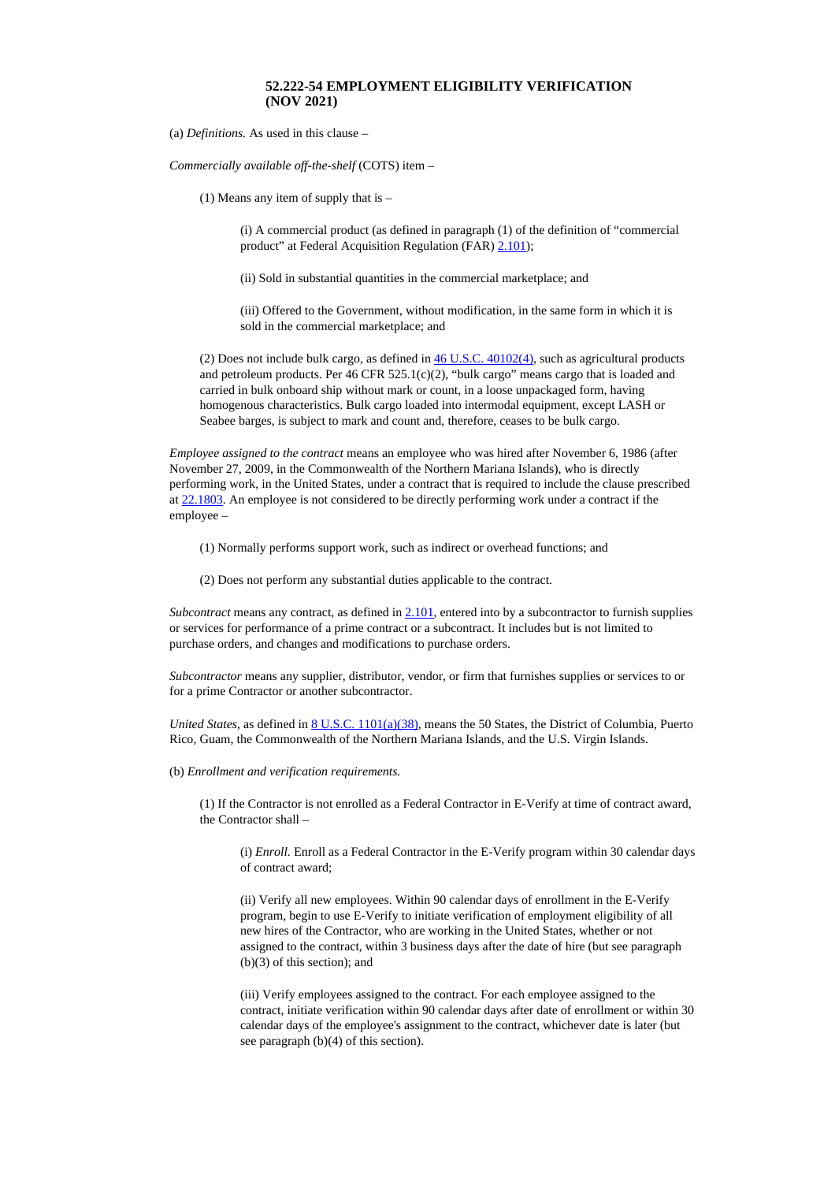## **52.222-54 EMPLOYMENT ELIGIBILITY VERIFICATION (NOV 2021)**

(a) *Definitions.* As used in this clause –

*Commercially available off-the-shelf* (COTS) item –

(1) Means any item of supply that is –

(i) A commercial product (as defined in paragraph (1) of the definition of "commercial product" at Federal Acquisition Regulation (FAR) [2.101\)](https://www.acquisition.gov/far/current/html/Subpart%202_1.html#wp1145508);

(ii) Sold in substantial quantities in the commercial marketplace; and

(iii) Offered to the Government, without modification, in the same form in which it is sold in the commercial marketplace; and

(2) Does not include bulk cargo, as defined in  $46$  U.S.C.  $40102(4)$ , such as agricultural products and petroleum products. Per 46 CFR 525.1(c)(2), "bulk cargo" means cargo that is loaded and carried in bulk onboard ship without mark or count, in a loose unpackaged form, having homogenous characteristics. Bulk cargo loaded into intermodal equipment, except LASH or Seabee barges, is subject to mark and count and, therefore, ceases to be bulk cargo.

*Employee assigned to the contract* means an employee who was hired after November 6, 1986 (after November 27, 2009, in the Commonwealth of the Northern Mariana Islands), who is directly performing work, in the United States, under a contract that is required to include the clause prescribed at [22.1803.](https://www.acquisition.gov/far/current/html/Subpart%2022_18.html#wp1089948) An employee is not considered to be directly performing work under a contract if the employee –

(1) Normally performs support work, such as indirect or overhead functions; and

(2) Does not perform any substantial duties applicable to the contract.

*Subcontract* means any contract, as defined in [2.101](https://www.acquisition.gov/far/current/html/Subpart%202_1.html#wp1145508), entered into by a subcontractor to furnish supplies or services for performance of a prime contract or a subcontract. It includes but is not limited to purchase orders, and changes and modifications to purchase orders.

*Subcontractor* means any supplier, distributor, vendor, or firm that furnishes supplies or services to or for a prime Contractor or another subcontractor.

*United States*, as defined in 8 U.S.C. [1101\(a\)\(38\)](http://uscode.house.gov/lawrevisioncounsel.shtml), means the 50 States, the District of Columbia, Puerto Rico, Guam, the Commonwealth of the Northern Mariana Islands, and the U.S. Virgin Islands.

(b) *Enrollment and verification requirements.*

(1) If the Contractor is not enrolled as a Federal Contractor in E-Verify at time of contract award, the Contractor shall –

(i) *Enroll.* Enroll as a Federal Contractor in the E-Verify program within 30 calendar days of contract award;

(ii) Verify all new employees. Within 90 calendar days of enrollment in the E-Verify program, begin to use E-Verify to initiate verification of employment eligibility of all new hires of the Contractor, who are working in the United States, whether or not assigned to the contract, within 3 business days after the date of hire (but see paragraph (b)(3) of this section); and

(iii) Verify employees assigned to the contract. For each employee assigned to the contract, initiate verification within 90 calendar days after date of enrollment or within 30 calendar days of the employee's assignment to the contract, whichever date is later (but see paragraph (b)(4) of this section).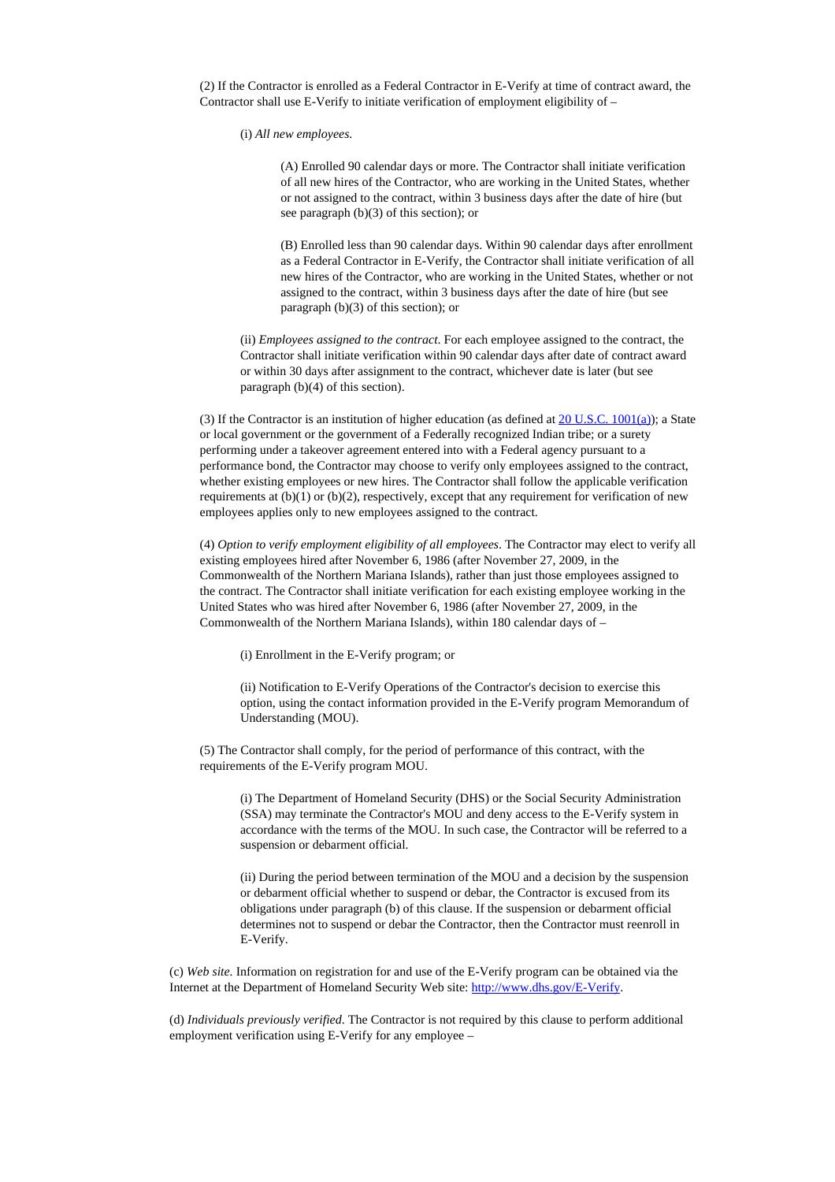(2) If the Contractor is enrolled as a Federal Contractor in E-Verify at time of contract award, the Contractor shall use E-Verify to initiate verification of employment eligibility of –

(i) *All new employees*.

(A) Enrolled 90 calendar days or more. The Contractor shall initiate verification of all new hires of the Contractor, who are working in the United States, whether or not assigned to the contract, within 3 business days after the date of hire (but see paragraph (b)(3) of this section); or

(B) Enrolled less than 90 calendar days. Within 90 calendar days after enrollment as a Federal Contractor in E-Verify, the Contractor shall initiate verification of all new hires of the Contractor, who are working in the United States, whether or not assigned to the contract, within 3 business days after the date of hire (but see paragraph (b)(3) of this section); or

(ii) *Employees assigned to the contract*. For each employee assigned to the contract, the Contractor shall initiate verification within 90 calendar days after date of contract award or within 30 days after assignment to the contract, whichever date is later (but see paragraph (b)(4) of this section).

(3) If the Contractor is an institution of higher education (as defined at  $20 \text{ U.S.C. } 1001(a)$ ); a State or local government or the government of a Federally recognized Indian tribe; or a surety performing under a takeover agreement entered into with a Federal agency pursuant to a performance bond, the Contractor may choose to verify only employees assigned to the contract, whether existing employees or new hires. The Contractor shall follow the applicable verification requirements at (b)(1) or (b)(2), respectively, except that any requirement for verification of new employees applies only to new employees assigned to the contract.

(4) *Option to verify employment eligibility of all employees*. The Contractor may elect to verify all existing employees hired after November 6, 1986 (after November 27, 2009, in the Commonwealth of the Northern Mariana Islands), rather than just those employees assigned to the contract. The Contractor shall initiate verification for each existing employee working in the United States who was hired after November 6, 1986 (after November 27, 2009, in the Commonwealth of the Northern Mariana Islands), within 180 calendar days of –

(i) Enrollment in the E-Verify program; or

(ii) Notification to E-Verify Operations of the Contractor's decision to exercise this option, using the contact information provided in the E-Verify program Memorandum of Understanding (MOU).

(5) The Contractor shall comply, for the period of performance of this contract, with the requirements of the E-Verify program MOU.

(i) The Department of Homeland Security (DHS) or the Social Security Administration (SSA) may terminate the Contractor's MOU and deny access to the E-Verify system in accordance with the terms of the MOU. In such case, the Contractor will be referred to a suspension or debarment official.

(ii) During the period between termination of the MOU and a decision by the suspension or debarment official whether to suspend or debar, the Contractor is excused from its obligations under paragraph (b) of this clause. If the suspension or debarment official determines not to suspend or debar the Contractor, then the Contractor must reenroll in E-Verify.

(c) *Web site.* Information on registration for and use of the E-Verify program can be obtained via the Internet at the Department of Homeland Security Web site: <http://www.dhs.gov/E-Verify>.

(d) *Individuals previously verified*. The Contractor is not required by this clause to perform additional employment verification using E-Verify for any employee –